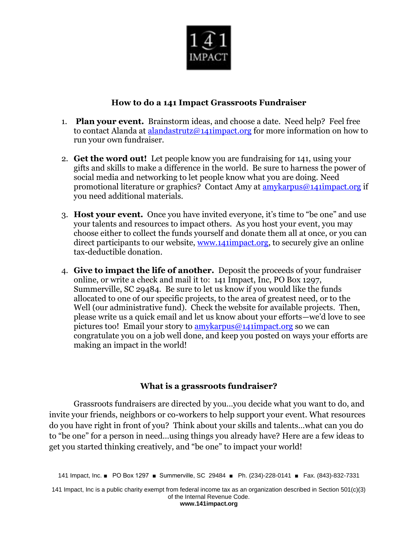

## **How to do a 141 Impact Grassroots Fundraiser**

- 1. **Plan your event.** Brainstorm ideas, and choose a date. Need help? Feel free to contact Alanda at [alandastrutz@141impact.org](mailto:alandastrutz@141impact.org) for more information on how to run your own fundraiser.
- 2. **Get the word out!** Let people know you are fundraising for 141, using your gifts and skills to make a difference in the world. Be sure to harness the power of social media and networking to let people know what you are doing. Need promotional literature or graphics? Contact Amy at **amykarpus@141impact.org** if you need additional materials.
- 3. **Host your event.** Once you have invited everyone, it's time to "be one" and use your talents and resources to impact others. As you host your event, you may choose either to collect the funds yourself and donate them all at once, or you can direct participants to our website, [www.141impact.org,](http://www.141impact.org/) to securely give an online tax-deductible donation.
- 4. **Give to impact the life of another.** Deposit the proceeds of your fundraiser online, or write a check and mail it to: 141 Impact, Inc, PO Box 1297, Summerville, SC 29484. Be sure to let us know if you would like the funds allocated to one of our specific projects, to the area of greatest need, or to the Well (our administrative fund). Check the website for available projects. Then, please write us a quick email and let us know about your efforts—we'd love to see pictures too! Email your story to  $amvkarpus@141impatch.org$  so we can congratulate you on a job well done, and keep you posted on ways your efforts are making an impact in the world!

## **What is a grassroots fundraiser?**

Grassroots fundraisers are directed by you…you decide what you want to do, and invite your friends, neighbors or co-workers to help support your event. What resources do you have right in front of you? Think about your skills and talents…what can you do to "be one" for a person in need…using things you already have? Here are a few ideas to get you started thinking creatively, and "be one" to impact your world!

141 Impact, Inc. ■ PO Box 1297 ■ Summerville, SC 29484 ■ Ph. (234)-228-0141 ■ Fax. (843)-832-7331

141 Impact, Inc is a public charity exempt from federal income tax as an organization described in Section 501(c)(3) of the Internal Revenue Code. **www.141impact.org**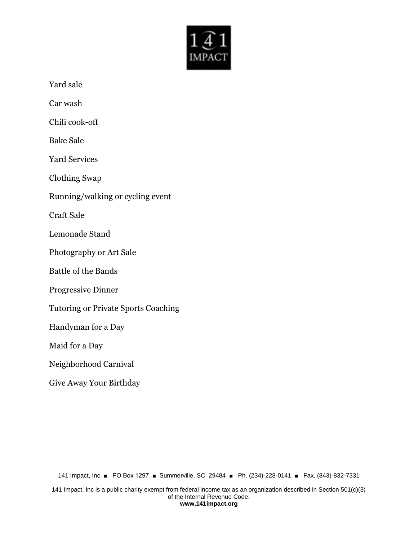

Yard sale

Car wash

Chili cook-off

Bake Sale

Yard Services

Clothing Swap

Running/walking or cycling event

Craft Sale

Lemonade Stand

Photography or Art Sale

Battle of the Bands

Progressive Dinner

Tutoring or Private Sports Coaching

Handyman for a Day

Maid for a Day

## Neighborhood Carnival

Give Away Your Birthday

141 Impact, Inc. ■ PO Box 1297 ■ Summerville, SC 29484 ■ Ph. (234)-228-0141 ■ Fax. (843)-832-7331

141 Impact, Inc is a public charity exempt from federal income tax as an organization described in Section 501(c)(3) of the Internal Revenue Code. **www.141impact.org**